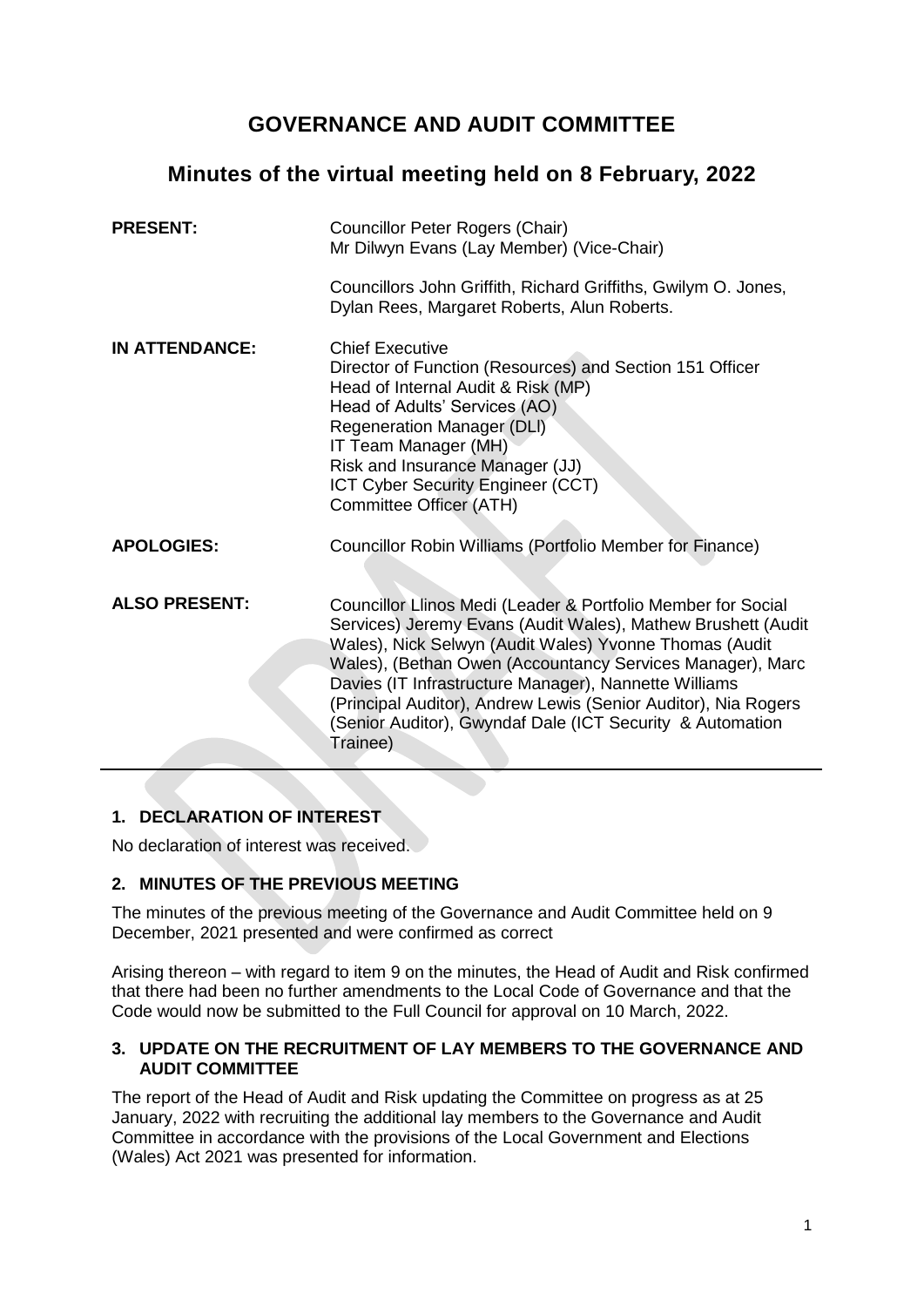# **GOVERNANCE AND AUDIT COMMITTEE**

# **Minutes of the virtual meeting held on 8 February, 2022**

| <b>PRESENT:</b>       | Councillor Peter Rogers (Chair)<br>Mr Dilwyn Evans (Lay Member) (Vice-Chair)                                                                                                                                                                                                                                                                                                                                                                            |
|-----------------------|---------------------------------------------------------------------------------------------------------------------------------------------------------------------------------------------------------------------------------------------------------------------------------------------------------------------------------------------------------------------------------------------------------------------------------------------------------|
|                       | Councillors John Griffith, Richard Griffiths, Gwilym O. Jones,<br>Dylan Rees, Margaret Roberts, Alun Roberts.                                                                                                                                                                                                                                                                                                                                           |
| <b>IN ATTENDANCE:</b> | <b>Chief Executive</b><br>Director of Function (Resources) and Section 151 Officer<br>Head of Internal Audit & Risk (MP)<br>Head of Adults' Services (AO)<br><b>Regeneration Manager (DLI)</b><br>IT Team Manager (MH)<br>Risk and Insurance Manager (JJ)<br>ICT Cyber Security Engineer (CCT)<br>Committee Officer (ATH)                                                                                                                               |
| <b>APOLOGIES:</b>     | Councillor Robin Williams (Portfolio Member for Finance)                                                                                                                                                                                                                                                                                                                                                                                                |
| <b>ALSO PRESENT:</b>  | Councillor Llinos Medi (Leader & Portfolio Member for Social<br>Services) Jeremy Evans (Audit Wales), Mathew Brushett (Audit<br>Wales), Nick Selwyn (Audit Wales) Yvonne Thomas (Audit<br>Wales), (Bethan Owen (Accountancy Services Manager), Marc<br>Davies (IT Infrastructure Manager), Nannette Williams<br>(Principal Auditor), Andrew Lewis (Senior Auditor), Nia Rogers<br>(Senior Auditor), Gwyndaf Dale (ICT Security & Automation<br>Trainee) |

# **1. DECLARATION OF INTEREST**

No declaration of interest was received.

# **2. MINUTES OF THE PREVIOUS MEETING**

The minutes of the previous meeting of the Governance and Audit Committee held on 9 December, 2021 presented and were confirmed as correct

Arising thereon – with regard to item 9 on the minutes, the Head of Audit and Risk confirmed that there had been no further amendments to the Local Code of Governance and that the Code would now be submitted to the Full Council for approval on 10 March, 2022.

# **3. UPDATE ON THE RECRUITMENT OF LAY MEMBERS TO THE GOVERNANCE AND AUDIT COMMITTEE**

The report of the Head of Audit and Risk updating the Committee on progress as at 25 January, 2022 with recruiting the additional lay members to the Governance and Audit Committee in accordance with the provisions of the Local Government and Elections (Wales) Act 2021 was presented for information.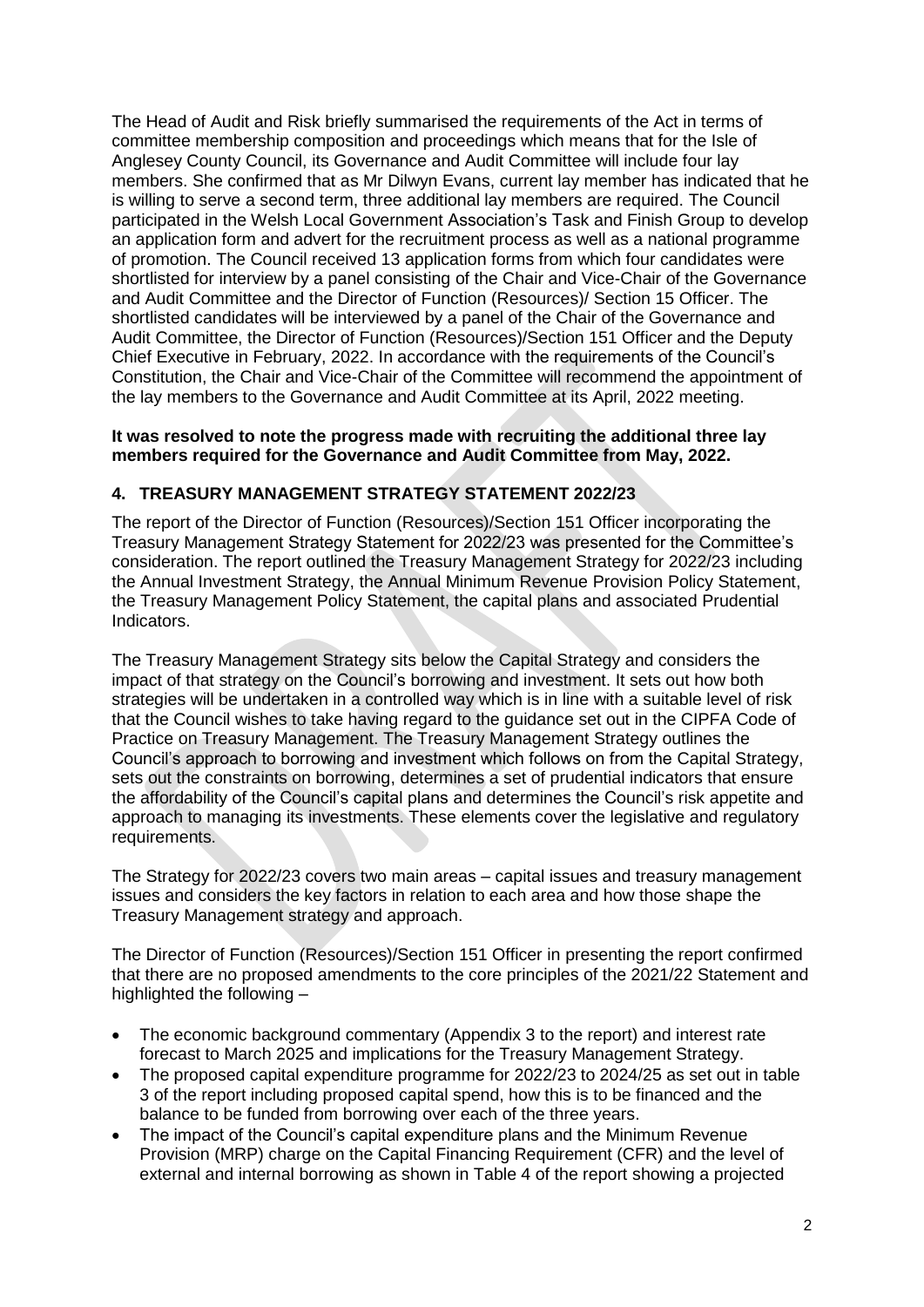The Head of Audit and Risk briefly summarised the requirements of the Act in terms of committee membership composition and proceedings which means that for the Isle of Anglesey County Council, its Governance and Audit Committee will include four lay members. She confirmed that as Mr Dilwyn Evans, current lay member has indicated that he is willing to serve a second term, three additional lay members are required. The Council participated in the Welsh Local Government Association's Task and Finish Group to develop an application form and advert for the recruitment process as well as a national programme of promotion. The Council received 13 application forms from which four candidates were shortlisted for interview by a panel consisting of the Chair and Vice-Chair of the Governance and Audit Committee and the Director of Function (Resources)/ Section 15 Officer. The shortlisted candidates will be interviewed by a panel of the Chair of the Governance and Audit Committee, the Director of Function (Resources)/Section 151 Officer and the Deputy Chief Executive in February, 2022. In accordance with the requirements of the Council's Constitution, the Chair and Vice-Chair of the Committee will recommend the appointment of the lay members to the Governance and Audit Committee at its April, 2022 meeting.

#### **It was resolved to note the progress made with recruiting the additional three lay members required for the Governance and Audit Committee from May, 2022.**

## **4. TREASURY MANAGEMENT STRATEGY STATEMENT 2022/23**

The report of the Director of Function (Resources)/Section 151 Officer incorporating the Treasury Management Strategy Statement for 2022/23 was presented for the Committee's consideration. The report outlined the Treasury Management Strategy for 2022/23 including the Annual Investment Strategy, the Annual Minimum Revenue Provision Policy Statement, the Treasury Management Policy Statement, the capital plans and associated Prudential Indicators.

The Treasury Management Strategy sits below the Capital Strategy and considers the impact of that strategy on the Council's borrowing and investment. It sets out how both strategies will be undertaken in a controlled way which is in line with a suitable level of risk that the Council wishes to take having regard to the guidance set out in the CIPFA Code of Practice on Treasury Management. The Treasury Management Strategy outlines the Council's approach to borrowing and investment which follows on from the Capital Strategy, sets out the constraints on borrowing, determines a set of prudential indicators that ensure the affordability of the Council's capital plans and determines the Council's risk appetite and approach to managing its investments. These elements cover the legislative and regulatory requirements.

The Strategy for 2022/23 covers two main areas – capital issues and treasury management issues and considers the key factors in relation to each area and how those shape the Treasury Management strategy and approach.

The Director of Function (Resources)/Section 151 Officer in presenting the report confirmed that there are no proposed amendments to the core principles of the 2021/22 Statement and highlighted the following -

- The economic background commentary (Appendix 3 to the report) and interest rate forecast to March 2025 and implications for the Treasury Management Strategy.
- The proposed capital expenditure programme for 2022/23 to 2024/25 as set out in table 3 of the report including proposed capital spend, how this is to be financed and the balance to be funded from borrowing over each of the three years.
- The impact of the Council's capital expenditure plans and the Minimum Revenue Provision (MRP) charge on the Capital Financing Requirement (CFR) and the level of external and internal borrowing as shown in Table 4 of the report showing a projected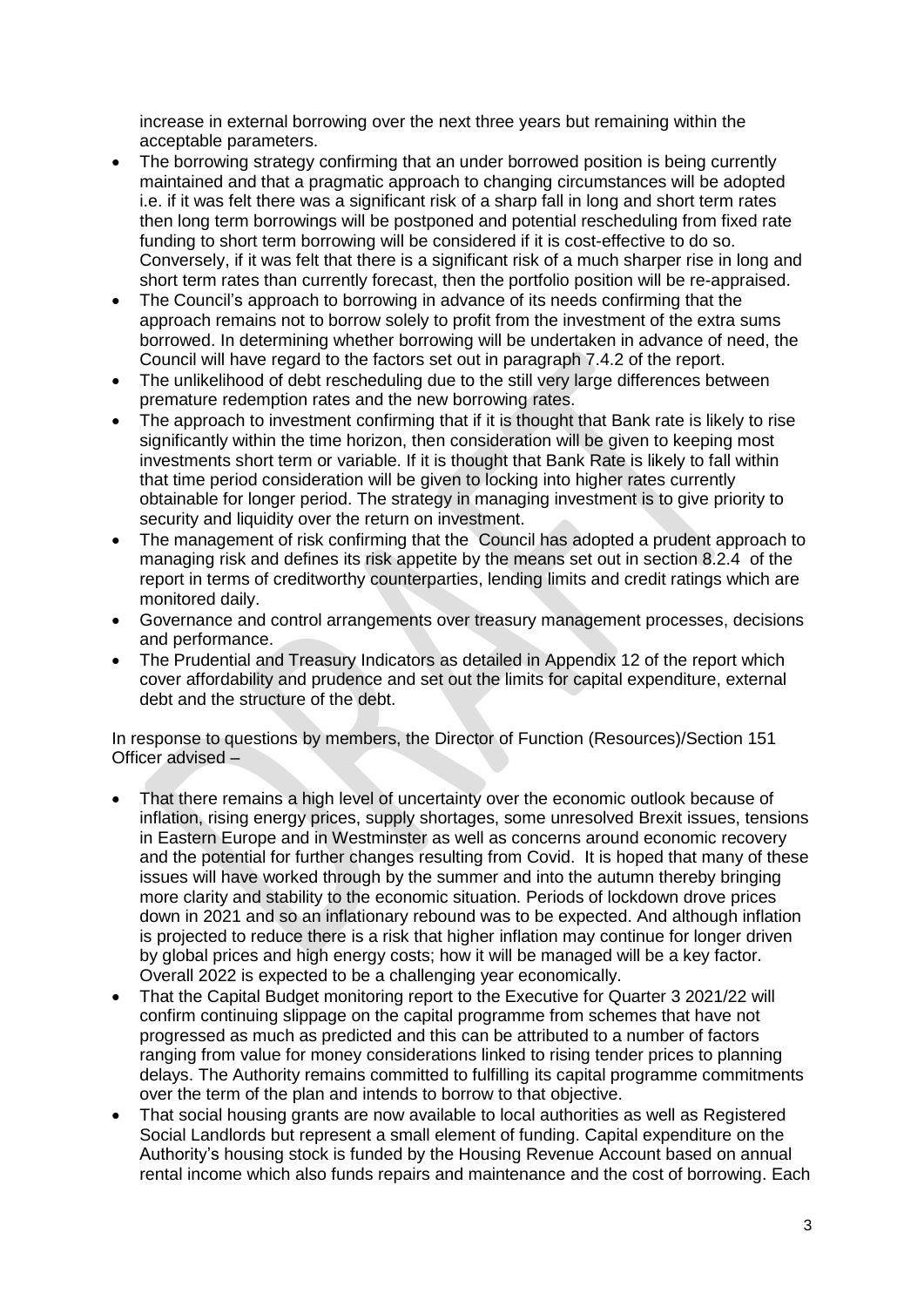increase in external borrowing over the next three years but remaining within the acceptable parameters.

- The borrowing strategy confirming that an under borrowed position is being currently maintained and that a pragmatic approach to changing circumstances will be adopted i.e. if it was felt there was a significant risk of a sharp fall in long and short term rates then long term borrowings will be postponed and potential rescheduling from fixed rate funding to short term borrowing will be considered if it is cost-effective to do so. Conversely, if it was felt that there is a significant risk of a much sharper rise in long and short term rates than currently forecast, then the portfolio position will be re-appraised.
- The Council's approach to borrowing in advance of its needs confirming that the approach remains not to borrow solely to profit from the investment of the extra sums borrowed. In determining whether borrowing will be undertaken in advance of need, the Council will have regard to the factors set out in paragraph 7.4.2 of the report.
- The unlikelihood of debt rescheduling due to the still very large differences between premature redemption rates and the new borrowing rates.
- The approach to investment confirming that if it is thought that Bank rate is likely to rise significantly within the time horizon, then consideration will be given to keeping most investments short term or variable. If it is thought that Bank Rate is likely to fall within that time period consideration will be given to locking into higher rates currently obtainable for longer period. The strategy in managing investment is to give priority to security and liquidity over the return on investment.
- The management of risk confirming that the Council has adopted a prudent approach to managing risk and defines its risk appetite by the means set out in section 8.2.4 of the report in terms of creditworthy counterparties, lending limits and credit ratings which are monitored daily.
- Governance and control arrangements over treasury management processes, decisions and performance.
- The Prudential and Treasury Indicators as detailed in Appendix 12 of the report which cover affordability and prudence and set out the limits for capital expenditure, external debt and the structure of the debt.

In response to questions by members, the Director of Function (Resources)/Section 151 Officer advised –

- That there remains a high level of uncertainty over the economic outlook because of inflation, rising energy prices, supply shortages, some unresolved Brexit issues, tensions in Eastern Europe and in Westminster as well as concerns around economic recovery and the potential for further changes resulting from Covid. It is hoped that many of these issues will have worked through by the summer and into the autumn thereby bringing more clarity and stability to the economic situation. Periods of lockdown drove prices down in 2021 and so an inflationary rebound was to be expected. And although inflation is projected to reduce there is a risk that higher inflation may continue for longer driven by global prices and high energy costs; how it will be managed will be a key factor. Overall 2022 is expected to be a challenging year economically.
- That the Capital Budget monitoring report to the Executive for Quarter 3 2021/22 will confirm continuing slippage on the capital programme from schemes that have not progressed as much as predicted and this can be attributed to a number of factors ranging from value for money considerations linked to rising tender prices to planning delays. The Authority remains committed to fulfilling its capital programme commitments over the term of the plan and intends to borrow to that objective.
- That social housing grants are now available to local authorities as well as Registered Social Landlords but represent a small element of funding. Capital expenditure on the Authority's housing stock is funded by the Housing Revenue Account based on annual rental income which also funds repairs and maintenance and the cost of borrowing. Each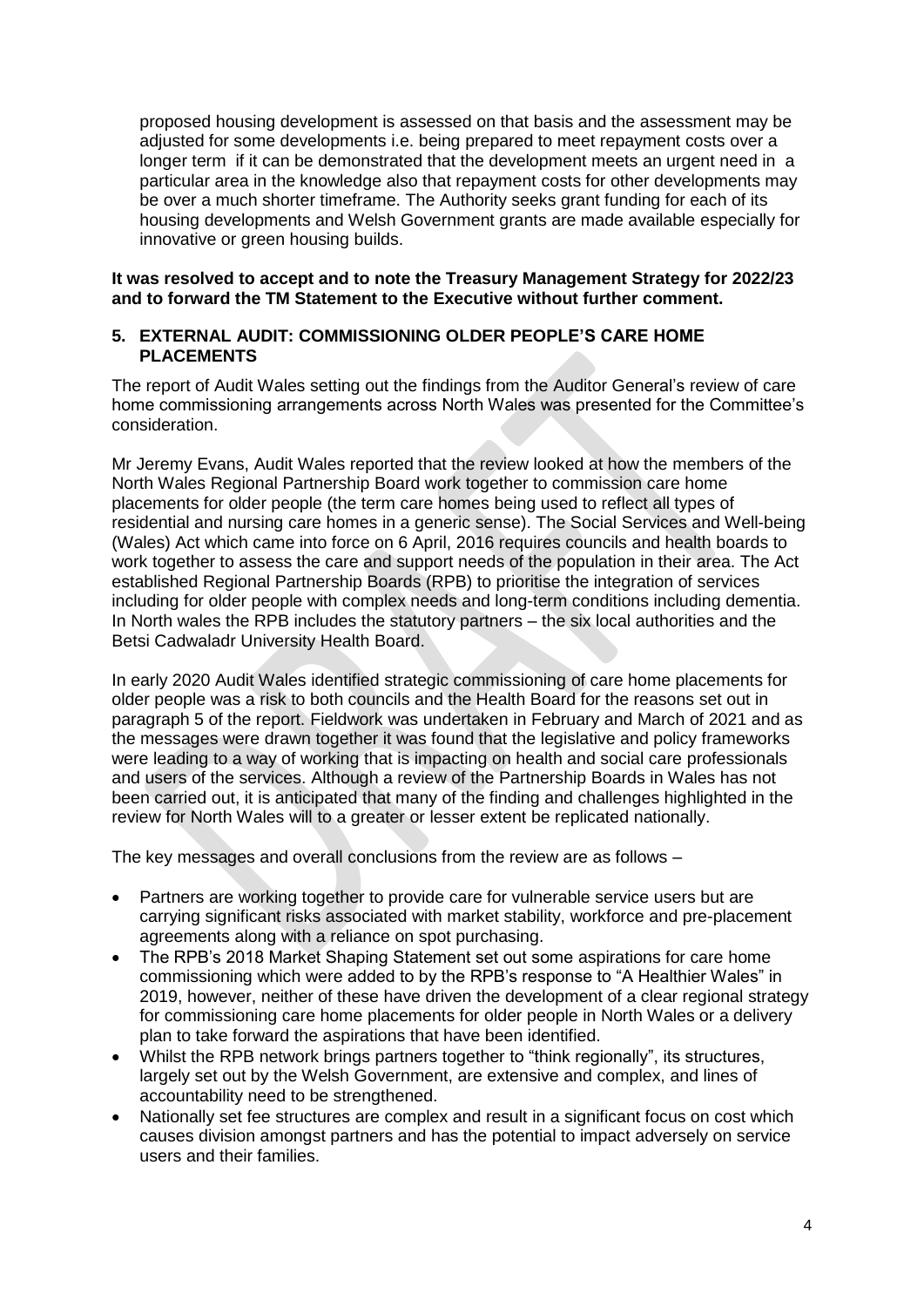proposed housing development is assessed on that basis and the assessment may be adjusted for some developments i.e. being prepared to meet repayment costs over a longer term if it can be demonstrated that the development meets an urgent need in a particular area in the knowledge also that repayment costs for other developments may be over a much shorter timeframe. The Authority seeks grant funding for each of its housing developments and Welsh Government grants are made available especially for innovative or green housing builds.

## **It was resolved to accept and to note the Treasury Management Strategy for 2022/23 and to forward the TM Statement to the Executive without further comment.**

## **5. EXTERNAL AUDIT: COMMISSIONING OLDER PEOPLE'S CARE HOME PLACEMENTS**

The report of Audit Wales setting out the findings from the Auditor General's review of care home commissioning arrangements across North Wales was presented for the Committee's consideration.

Mr Jeremy Evans, Audit Wales reported that the review looked at how the members of the North Wales Regional Partnership Board work together to commission care home placements for older people (the term care homes being used to reflect all types of residential and nursing care homes in a generic sense). The Social Services and Well-being (Wales) Act which came into force on 6 April, 2016 requires councils and health boards to work together to assess the care and support needs of the population in their area. The Act established Regional Partnership Boards (RPB) to prioritise the integration of services including for older people with complex needs and long-term conditions including dementia. In North wales the RPB includes the statutory partners – the six local authorities and the Betsi Cadwaladr University Health Board.

In early 2020 Audit Wales identified strategic commissioning of care home placements for older people was a risk to both councils and the Health Board for the reasons set out in paragraph 5 of the report. Fieldwork was undertaken in February and March of 2021 and as the messages were drawn together it was found that the legislative and policy frameworks were leading to a way of working that is impacting on health and social care professionals and users of the services. Although a review of the Partnership Boards in Wales has not been carried out, it is anticipated that many of the finding and challenges highlighted in the review for North Wales will to a greater or lesser extent be replicated nationally.

The key messages and overall conclusions from the review are as follows –

- Partners are working together to provide care for vulnerable service users but are carrying significant risks associated with market stability, workforce and pre-placement agreements along with a reliance on spot purchasing.
- The RPB's 2018 Market Shaping Statement set out some aspirations for care home commissioning which were added to by the RPB's response to "A Healthier Wales" in 2019, however, neither of these have driven the development of a clear regional strategy for commissioning care home placements for older people in North Wales or a delivery plan to take forward the aspirations that have been identified.
- Whilst the RPB network brings partners together to "think regionally", its structures, largely set out by the Welsh Government, are extensive and complex, and lines of accountability need to be strengthened.
- Nationally set fee structures are complex and result in a significant focus on cost which causes division amongst partners and has the potential to impact adversely on service users and their families.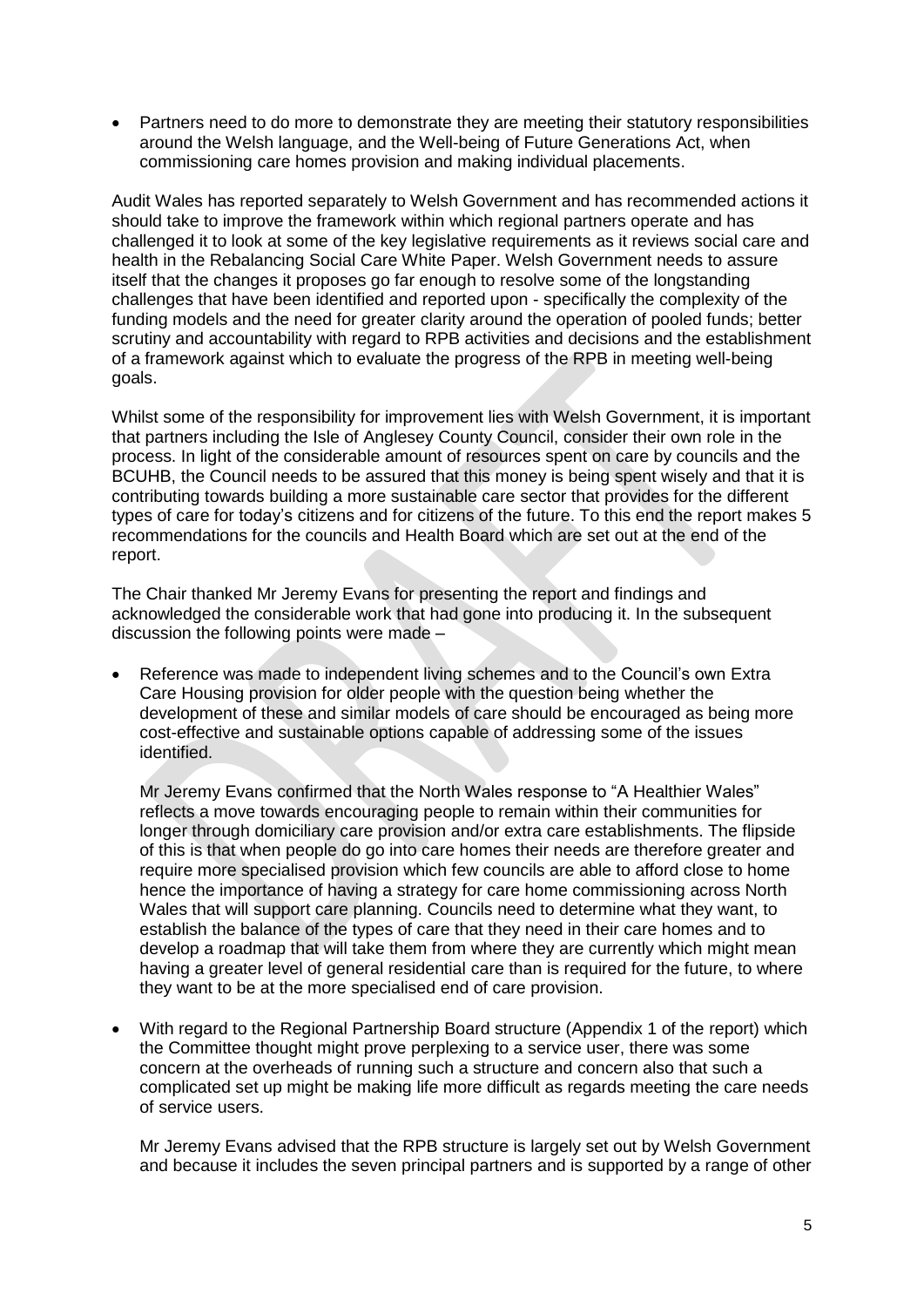• Partners need to do more to demonstrate they are meeting their statutory responsibilities around the Welsh language, and the Well-being of Future Generations Act, when commissioning care homes provision and making individual placements.

Audit Wales has reported separately to Welsh Government and has recommended actions it should take to improve the framework within which regional partners operate and has challenged it to look at some of the key legislative requirements as it reviews social care and health in the Rebalancing Social Care White Paper. Welsh Government needs to assure itself that the changes it proposes go far enough to resolve some of the longstanding challenges that have been identified and reported upon - specifically the complexity of the funding models and the need for greater clarity around the operation of pooled funds; better scrutiny and accountability with regard to RPB activities and decisions and the establishment of a framework against which to evaluate the progress of the RPB in meeting well-being goals.

Whilst some of the responsibility for improvement lies with Welsh Government, it is important that partners including the Isle of Anglesey County Council, consider their own role in the process. In light of the considerable amount of resources spent on care by councils and the BCUHB, the Council needs to be assured that this money is being spent wisely and that it is contributing towards building a more sustainable care sector that provides for the different types of care for today's citizens and for citizens of the future. To this end the report makes 5 recommendations for the councils and Health Board which are set out at the end of the report.

The Chair thanked Mr Jeremy Evans for presenting the report and findings and acknowledged the considerable work that had gone into producing it. In the subsequent discussion the following points were made –

 Reference was made to independent living schemes and to the Council's own Extra Care Housing provision for older people with the question being whether the development of these and similar models of care should be encouraged as being more cost-effective and sustainable options capable of addressing some of the issues identified.

Mr Jeremy Evans confirmed that the North Wales response to "A Healthier Wales" reflects a move towards encouraging people to remain within their communities for longer through domiciliary care provision and/or extra care establishments. The flipside of this is that when people do go into care homes their needs are therefore greater and require more specialised provision which few councils are able to afford close to home hence the importance of having a strategy for care home commissioning across North Wales that will support care planning. Councils need to determine what they want, to establish the balance of the types of care that they need in their care homes and to develop a roadmap that will take them from where they are currently which might mean having a greater level of general residential care than is required for the future, to where they want to be at the more specialised end of care provision.

 With regard to the Regional Partnership Board structure (Appendix 1 of the report) which the Committee thought might prove perplexing to a service user, there was some concern at the overheads of running such a structure and concern also that such a complicated set up might be making life more difficult as regards meeting the care needs of service users.

Mr Jeremy Evans advised that the RPB structure is largely set out by Welsh Government and because it includes the seven principal partners and is supported by a range of other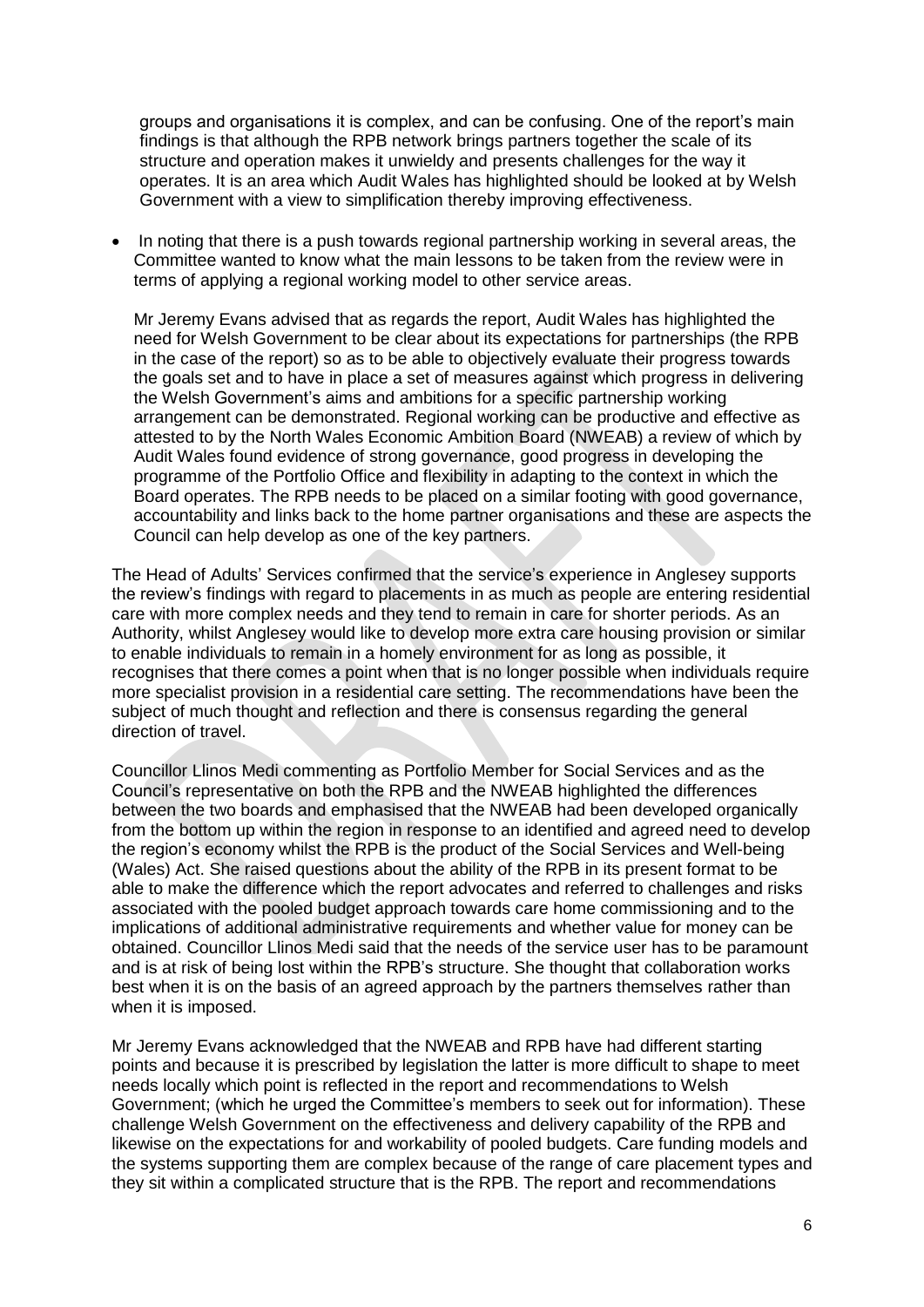groups and organisations it is complex, and can be confusing. One of the report's main findings is that although the RPB network brings partners together the scale of its structure and operation makes it unwieldy and presents challenges for the way it operates. It is an area which Audit Wales has highlighted should be looked at by Welsh Government with a view to simplification thereby improving effectiveness.

 In noting that there is a push towards regional partnership working in several areas, the Committee wanted to know what the main lessons to be taken from the review were in terms of applying a regional working model to other service areas.

Mr Jeremy Evans advised that as regards the report, Audit Wales has highlighted the need for Welsh Government to be clear about its expectations for partnerships (the RPB in the case of the report) so as to be able to objectively evaluate their progress towards the goals set and to have in place a set of measures against which progress in delivering the Welsh Government's aims and ambitions for a specific partnership working arrangement can be demonstrated. Regional working can be productive and effective as attested to by the North Wales Economic Ambition Board (NWEAB) a review of which by Audit Wales found evidence of strong governance, good progress in developing the programme of the Portfolio Office and flexibility in adapting to the context in which the Board operates. The RPB needs to be placed on a similar footing with good governance, accountability and links back to the home partner organisations and these are aspects the Council can help develop as one of the key partners.

The Head of Adults' Services confirmed that the service's experience in Anglesey supports the review's findings with regard to placements in as much as people are entering residential care with more complex needs and they tend to remain in care for shorter periods. As an Authority, whilst Anglesey would like to develop more extra care housing provision or similar to enable individuals to remain in a homely environment for as long as possible, it recognises that there comes a point when that is no longer possible when individuals require more specialist provision in a residential care setting. The recommendations have been the subject of much thought and reflection and there is consensus regarding the general direction of travel.

Councillor Llinos Medi commenting as Portfolio Member for Social Services and as the Council's representative on both the RPB and the NWEAB highlighted the differences between the two boards and emphasised that the NWEAB had been developed organically from the bottom up within the region in response to an identified and agreed need to develop the region's economy whilst the RPB is the product of the Social Services and Well-being (Wales) Act. She raised questions about the ability of the RPB in its present format to be able to make the difference which the report advocates and referred to challenges and risks associated with the pooled budget approach towards care home commissioning and to the implications of additional administrative requirements and whether value for money can be obtained. Councillor Llinos Medi said that the needs of the service user has to be paramount and is at risk of being lost within the RPB's structure. She thought that collaboration works best when it is on the basis of an agreed approach by the partners themselves rather than when it is imposed.

Mr Jeremy Evans acknowledged that the NWEAB and RPB have had different starting points and because it is prescribed by legislation the latter is more difficult to shape to meet needs locally which point is reflected in the report and recommendations to Welsh Government; (which he urged the Committee's members to seek out for information). These challenge Welsh Government on the effectiveness and delivery capability of the RPB and likewise on the expectations for and workability of pooled budgets. Care funding models and the systems supporting them are complex because of the range of care placement types and they sit within a complicated structure that is the RPB. The report and recommendations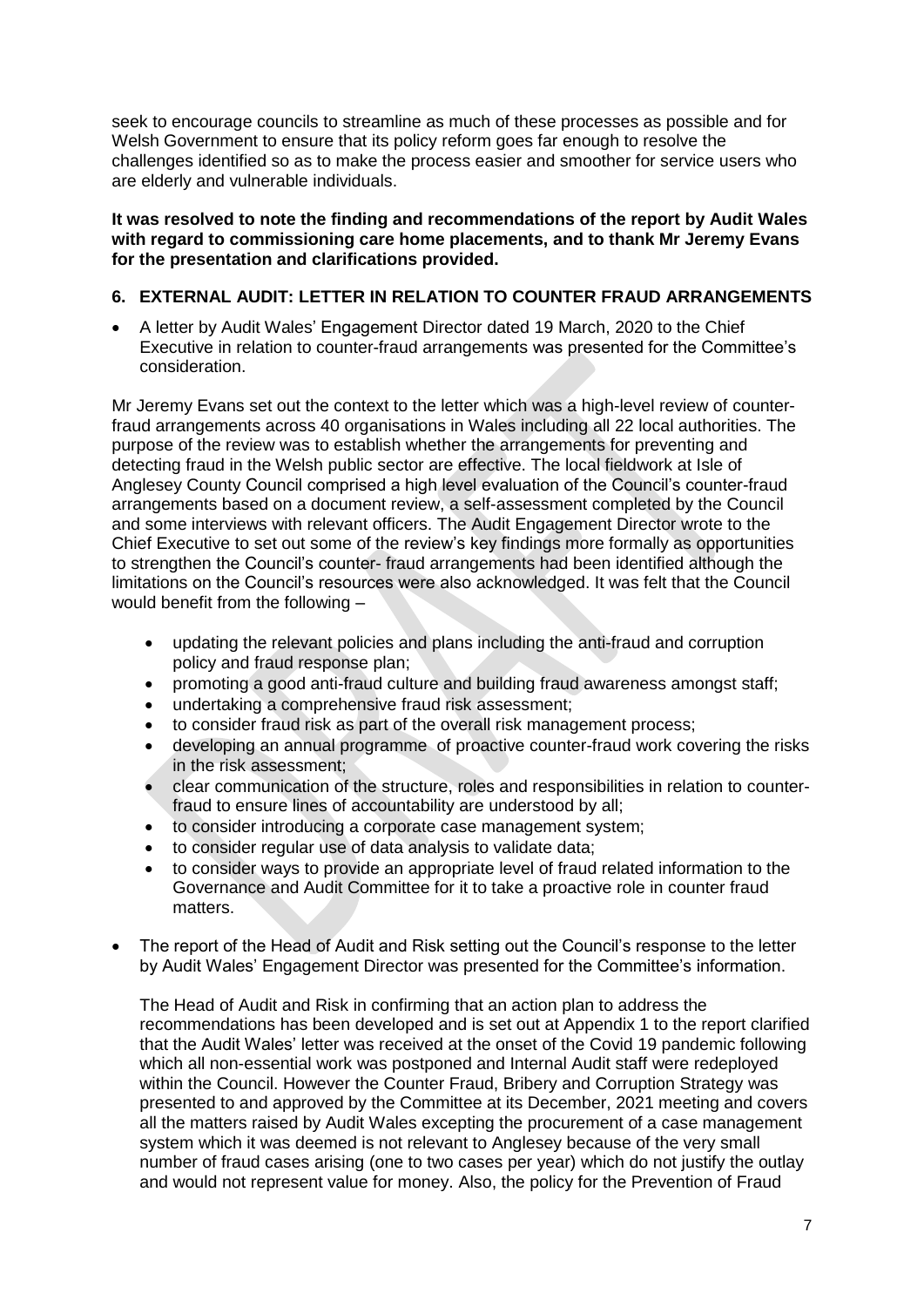seek to encourage councils to streamline as much of these processes as possible and for Welsh Government to ensure that its policy reform goes far enough to resolve the challenges identified so as to make the process easier and smoother for service users who are elderly and vulnerable individuals.

## **It was resolved to note the finding and recommendations of the report by Audit Wales with regard to commissioning care home placements, and to thank Mr Jeremy Evans for the presentation and clarifications provided.**

# **6. EXTERNAL AUDIT: LETTER IN RELATION TO COUNTER FRAUD ARRANGEMENTS**

 A letter by Audit Wales' Engagement Director dated 19 March, 2020 to the Chief Executive in relation to counter-fraud arrangements was presented for the Committee's consideration.

Mr Jeremy Evans set out the context to the letter which was a high-level review of counterfraud arrangements across 40 organisations in Wales including all 22 local authorities. The purpose of the review was to establish whether the arrangements for preventing and detecting fraud in the Welsh public sector are effective. The local fieldwork at Isle of Anglesey County Council comprised a high level evaluation of the Council's counter-fraud arrangements based on a document review, a self-assessment completed by the Council and some interviews with relevant officers. The Audit Engagement Director wrote to the Chief Executive to set out some of the review's key findings more formally as opportunities to strengthen the Council's counter- fraud arrangements had been identified although the limitations on the Council's resources were also acknowledged. It was felt that the Council would benefit from the following –

- updating the relevant policies and plans including the anti-fraud and corruption policy and fraud response plan;
- promoting a good anti-fraud culture and building fraud awareness amongst staff;
- undertaking a comprehensive fraud risk assessment;
- to consider fraud risk as part of the overall risk management process;
- developing an annual programme of proactive counter-fraud work covering the risks in the risk assessment;
- clear communication of the structure, roles and responsibilities in relation to counterfraud to ensure lines of accountability are understood by all;
- to consider introducing a corporate case management system;
- to consider regular use of data analysis to validate data;
- to consider ways to provide an appropriate level of fraud related information to the Governance and Audit Committee for it to take a proactive role in counter fraud matters.
- The report of the Head of Audit and Risk setting out the Council's response to the letter by Audit Wales' Engagement Director was presented for the Committee's information.

The Head of Audit and Risk in confirming that an action plan to address the recommendations has been developed and is set out at Appendix 1 to the report clarified that the Audit Wales' letter was received at the onset of the Covid 19 pandemic following which all non-essential work was postponed and Internal Audit staff were redeployed within the Council. However the Counter Fraud, Bribery and Corruption Strategy was presented to and approved by the Committee at its December, 2021 meeting and covers all the matters raised by Audit Wales excepting the procurement of a case management system which it was deemed is not relevant to Anglesey because of the very small number of fraud cases arising (one to two cases per year) which do not justify the outlay and would not represent value for money. Also, the policy for the Prevention of Fraud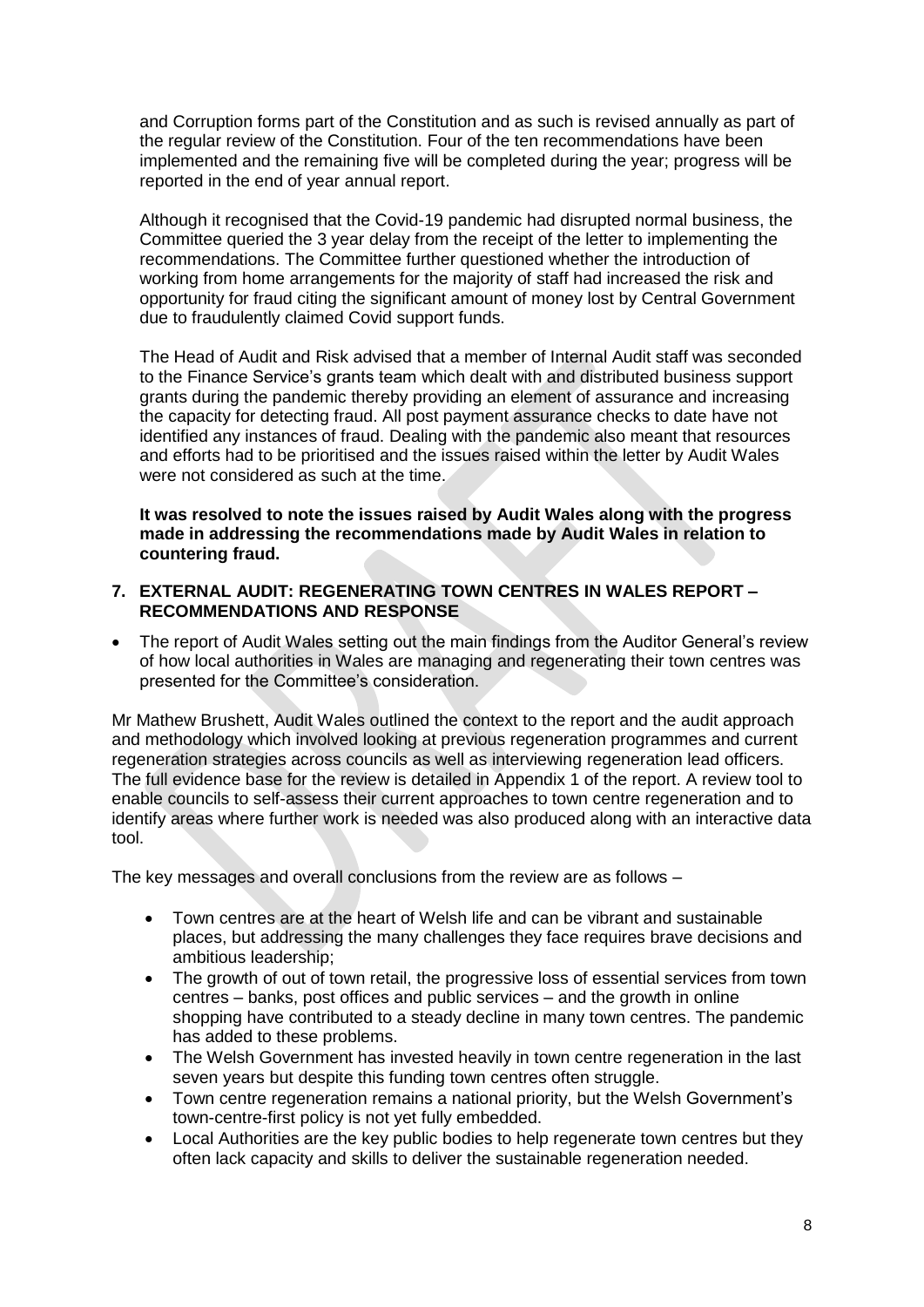and Corruption forms part of the Constitution and as such is revised annually as part of the regular review of the Constitution. Four of the ten recommendations have been implemented and the remaining five will be completed during the year; progress will be reported in the end of year annual report.

Although it recognised that the Covid-19 pandemic had disrupted normal business, the Committee queried the 3 year delay from the receipt of the letter to implementing the recommendations. The Committee further questioned whether the introduction of working from home arrangements for the majority of staff had increased the risk and opportunity for fraud citing the significant amount of money lost by Central Government due to fraudulently claimed Covid support funds.

The Head of Audit and Risk advised that a member of Internal Audit staff was seconded to the Finance Service's grants team which dealt with and distributed business support grants during the pandemic thereby providing an element of assurance and increasing the capacity for detecting fraud. All post payment assurance checks to date have not identified any instances of fraud. Dealing with the pandemic also meant that resources and efforts had to be prioritised and the issues raised within the letter by Audit Wales were not considered as such at the time.

**It was resolved to note the issues raised by Audit Wales along with the progress made in addressing the recommendations made by Audit Wales in relation to countering fraud.**

- **7. EXTERNAL AUDIT: REGENERATING TOWN CENTRES IN WALES REPORT – RECOMMENDATIONS AND RESPONSE**
- The report of Audit Wales setting out the main findings from the Auditor General's review of how local authorities in Wales are managing and regenerating their town centres was presented for the Committee's consideration.

Mr Mathew Brushett, Audit Wales outlined the context to the report and the audit approach and methodology which involved looking at previous regeneration programmes and current regeneration strategies across councils as well as interviewing regeneration lead officers. The full evidence base for the review is detailed in Appendix 1 of the report. A review tool to enable councils to self-assess their current approaches to town centre regeneration and to identify areas where further work is needed was also produced along with an interactive data tool.

The key messages and overall conclusions from the review are as follows –

- Town centres are at the heart of Welsh life and can be vibrant and sustainable places, but addressing the many challenges they face requires brave decisions and ambitious leadership;
- The growth of out of town retail, the progressive loss of essential services from town centres – banks, post offices and public services – and the growth in online shopping have contributed to a steady decline in many town centres. The pandemic has added to these problems.
- The Welsh Government has invested heavily in town centre regeneration in the last seven years but despite this funding town centres often struggle.
- Town centre regeneration remains a national priority, but the Welsh Government's town-centre-first policy is not yet fully embedded.
- Local Authorities are the key public bodies to help regenerate town centres but they often lack capacity and skills to deliver the sustainable regeneration needed.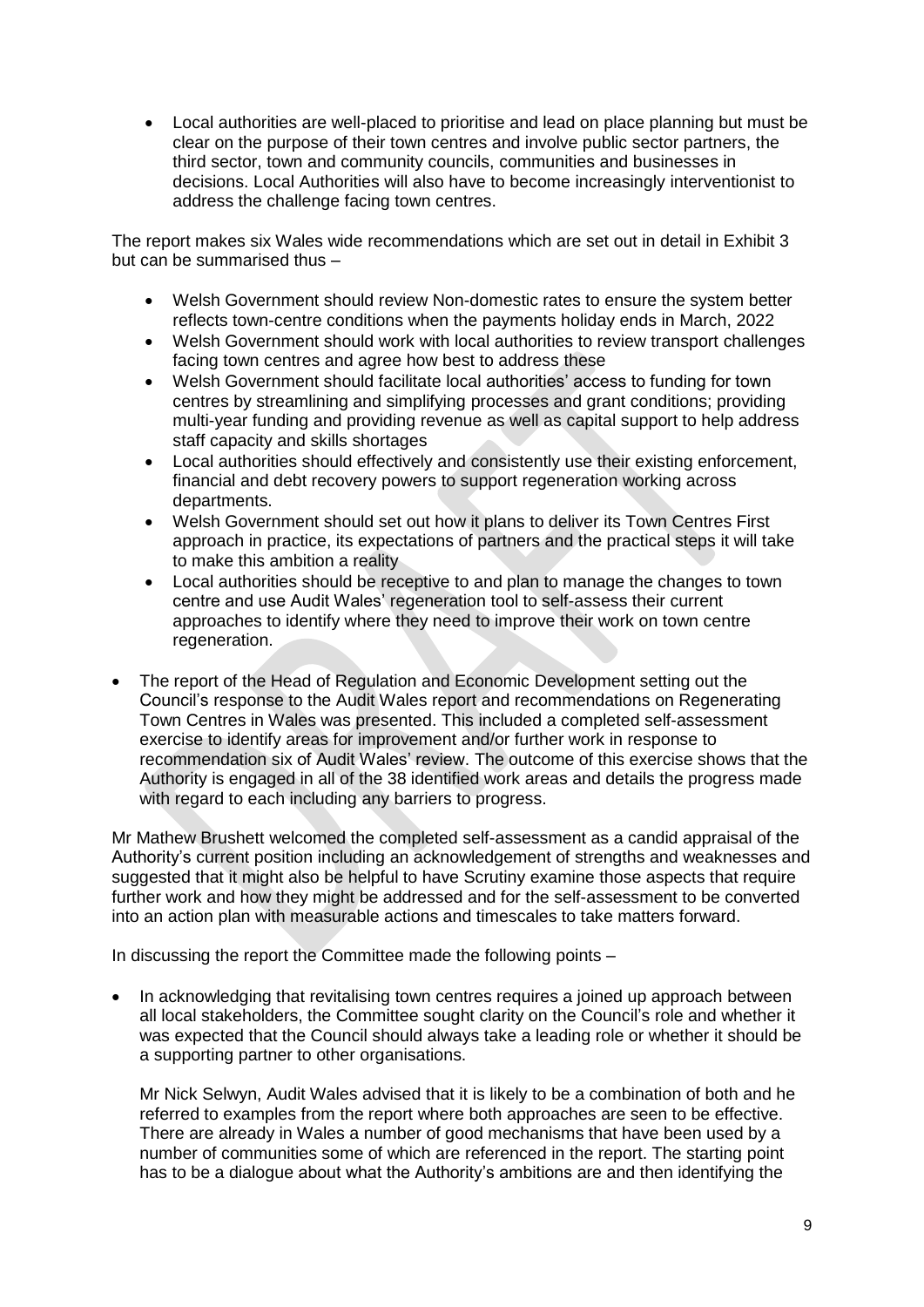Local authorities are well-placed to prioritise and lead on place planning but must be clear on the purpose of their town centres and involve public sector partners, the third sector, town and community councils, communities and businesses in decisions. Local Authorities will also have to become increasingly interventionist to address the challenge facing town centres.

The report makes six Wales wide recommendations which are set out in detail in Exhibit 3 but can be summarised thus –

- Welsh Government should review Non-domestic rates to ensure the system better reflects town-centre conditions when the payments holiday ends in March, 2022
- Welsh Government should work with local authorities to review transport challenges facing town centres and agree how best to address these
- Welsh Government should facilitate local authorities' access to funding for town centres by streamlining and simplifying processes and grant conditions; providing multi-year funding and providing revenue as well as capital support to help address staff capacity and skills shortages
- Local authorities should effectively and consistently use their existing enforcement, financial and debt recovery powers to support regeneration working across departments.
- Welsh Government should set out how it plans to deliver its Town Centres First approach in practice, its expectations of partners and the practical steps it will take to make this ambition a reality
- Local authorities should be receptive to and plan to manage the changes to town centre and use Audit Wales' regeneration tool to self-assess their current approaches to identify where they need to improve their work on town centre regeneration.
- The report of the Head of Regulation and Economic Development setting out the Council's response to the Audit Wales report and recommendations on Regenerating Town Centres in Wales was presented. This included a completed self-assessment exercise to identify areas for improvement and/or further work in response to recommendation six of Audit Wales' review. The outcome of this exercise shows that the Authority is engaged in all of the 38 identified work areas and details the progress made with regard to each including any barriers to progress.

Mr Mathew Brushett welcomed the completed self-assessment as a candid appraisal of the Authority's current position including an acknowledgement of strengths and weaknesses and suggested that it might also be helpful to have Scrutiny examine those aspects that require further work and how they might be addressed and for the self-assessment to be converted into an action plan with measurable actions and timescales to take matters forward.

In discussing the report the Committee made the following points –

• In acknowledging that revitalising town centres requires a joined up approach between all local stakeholders, the Committee sought clarity on the Council's role and whether it was expected that the Council should always take a leading role or whether it should be a supporting partner to other organisations.

Mr Nick Selwyn, Audit Wales advised that it is likely to be a combination of both and he referred to examples from the report where both approaches are seen to be effective. There are already in Wales a number of good mechanisms that have been used by a number of communities some of which are referenced in the report. The starting point has to be a dialogue about what the Authority's ambitions are and then identifying the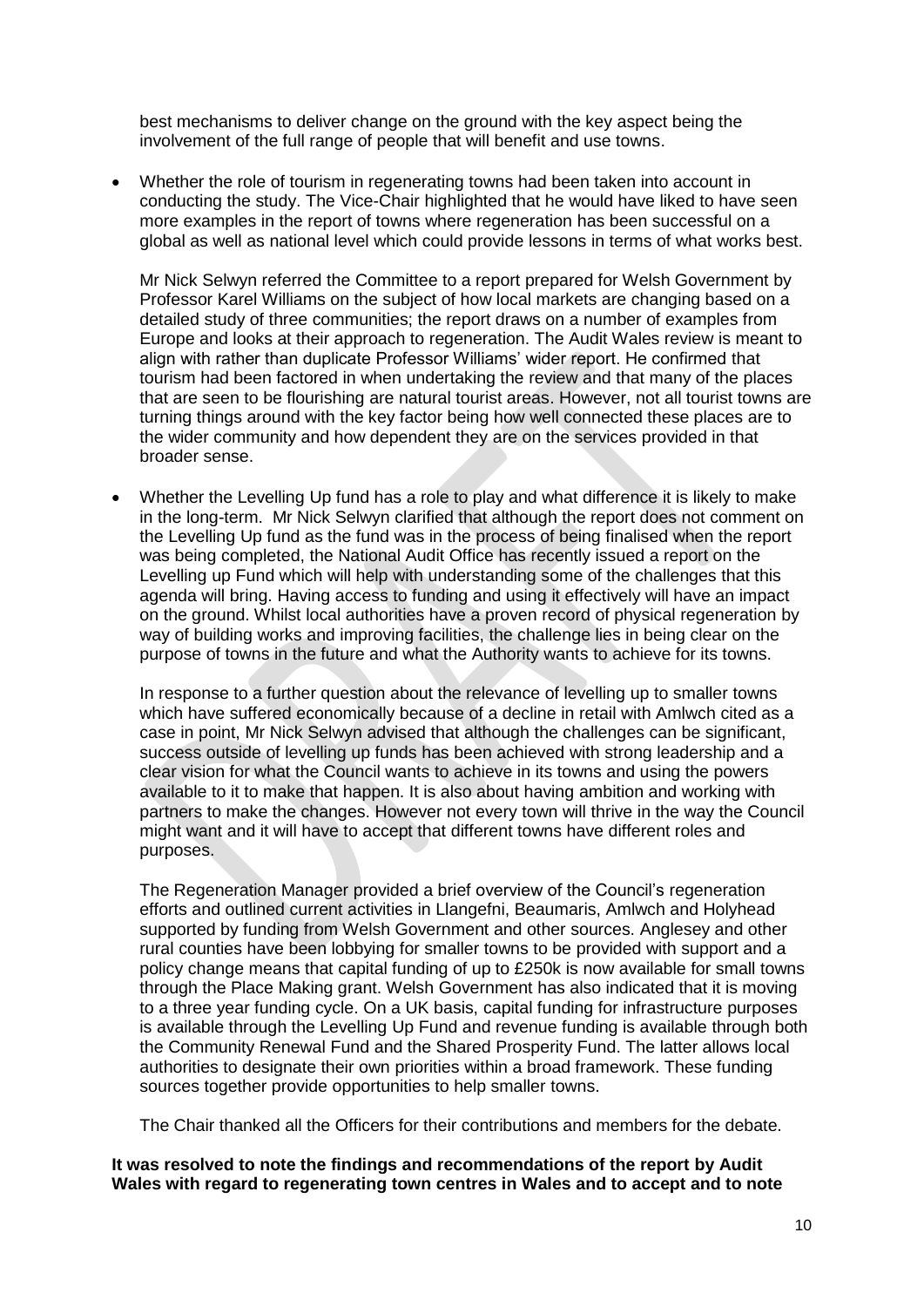best mechanisms to deliver change on the ground with the key aspect being the involvement of the full range of people that will benefit and use towns.

 Whether the role of tourism in regenerating towns had been taken into account in conducting the study. The Vice-Chair highlighted that he would have liked to have seen more examples in the report of towns where regeneration has been successful on a global as well as national level which could provide lessons in terms of what works best.

Mr Nick Selwyn referred the Committee to a report prepared for Welsh Government by Professor Karel Williams on the subject of how local markets are changing based on a detailed study of three communities; the report draws on a number of examples from Europe and looks at their approach to regeneration. The Audit Wales review is meant to align with rather than duplicate Professor Williams' wider report. He confirmed that tourism had been factored in when undertaking the review and that many of the places that are seen to be flourishing are natural tourist areas. However, not all tourist towns are turning things around with the key factor being how well connected these places are to the wider community and how dependent they are on the services provided in that broader sense.

 Whether the Levelling Up fund has a role to play and what difference it is likely to make in the long-term. Mr Nick Selwyn clarified that although the report does not comment on the Levelling Up fund as the fund was in the process of being finalised when the report was being completed, the National Audit Office has recently issued a report on the Levelling up Fund which will help with understanding some of the challenges that this agenda will bring. Having access to funding and using it effectively will have an impact on the ground. Whilst local authorities have a proven record of physical regeneration by way of building works and improving facilities, the challenge lies in being clear on the purpose of towns in the future and what the Authority wants to achieve for its towns.

In response to a further question about the relevance of levelling up to smaller towns which have suffered economically because of a decline in retail with Amlwch cited as a case in point, Mr Nick Selwyn advised that although the challenges can be significant, success outside of levelling up funds has been achieved with strong leadership and a clear vision for what the Council wants to achieve in its towns and using the powers available to it to make that happen. It is also about having ambition and working with partners to make the changes. However not every town will thrive in the way the Council might want and it will have to accept that different towns have different roles and purposes.

The Regeneration Manager provided a brief overview of the Council's regeneration efforts and outlined current activities in Llangefni, Beaumaris, Amlwch and Holyhead supported by funding from Welsh Government and other sources. Anglesey and other rural counties have been lobbying for smaller towns to be provided with support and a policy change means that capital funding of up to £250k is now available for small towns through the Place Making grant. Welsh Government has also indicated that it is moving to a three year funding cycle. On a UK basis, capital funding for infrastructure purposes is available through the Levelling Up Fund and revenue funding is available through both the Community Renewal Fund and the Shared Prosperity Fund. The latter allows local authorities to designate their own priorities within a broad framework. These funding sources together provide opportunities to help smaller towns.

The Chair thanked all the Officers for their contributions and members for the debate.

**It was resolved to note the findings and recommendations of the report by Audit Wales with regard to regenerating town centres in Wales and to accept and to note**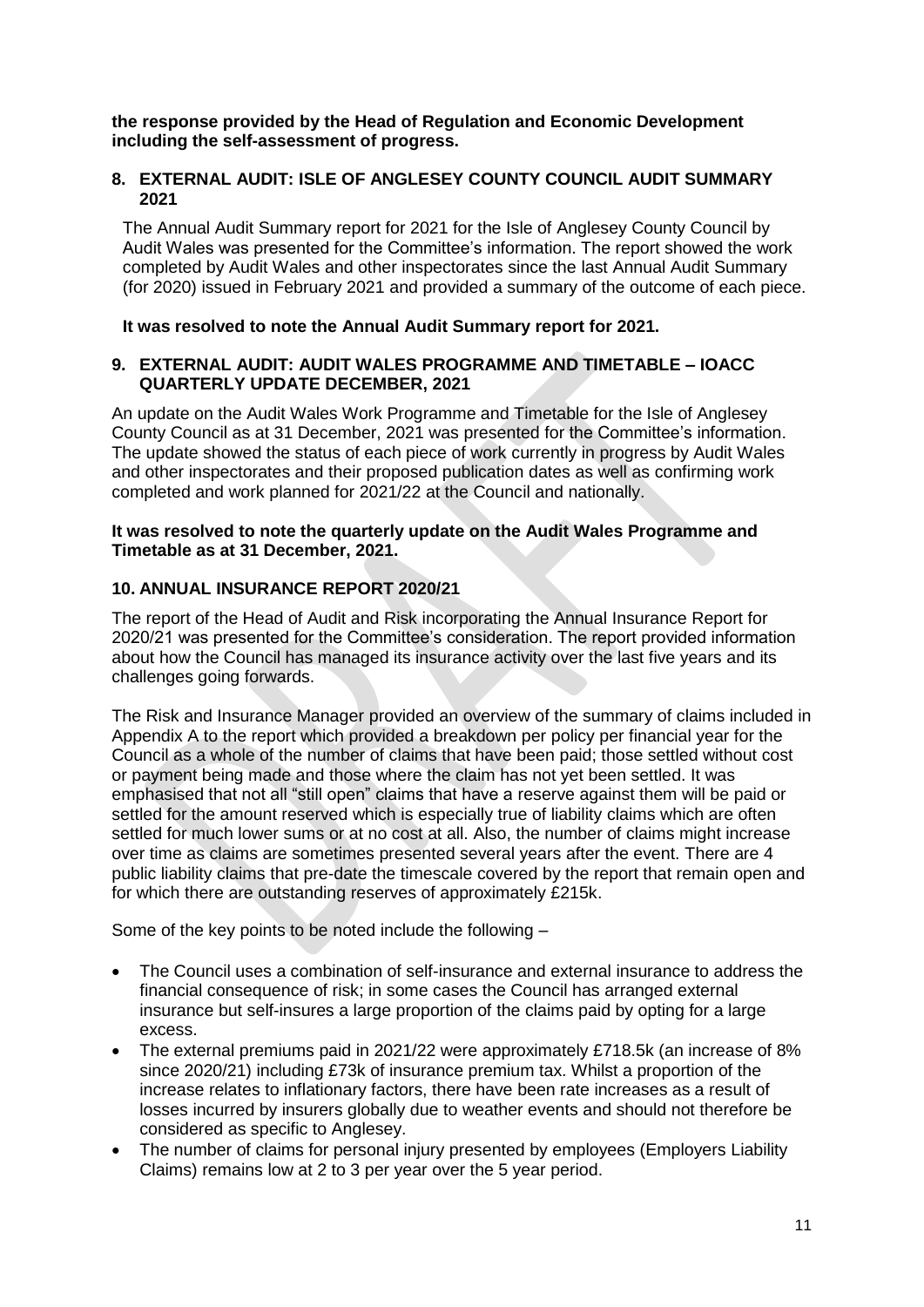**the response provided by the Head of Regulation and Economic Development including the self-assessment of progress.**

## **8. EXTERNAL AUDIT: ISLE OF ANGLESEY COUNTY COUNCIL AUDIT SUMMARY 2021**

The Annual Audit Summary report for 2021 for the Isle of Anglesey County Council by Audit Wales was presented for the Committee's information. The report showed the work completed by Audit Wales and other inspectorates since the last Annual Audit Summary (for 2020) issued in February 2021 and provided a summary of the outcome of each piece.

#### **It was resolved to note the Annual Audit Summary report for 2021.**

## **9. EXTERNAL AUDIT: AUDIT WALES PROGRAMME AND TIMETABLE – IOACC QUARTERLY UPDATE DECEMBER, 2021**

An update on the Audit Wales Work Programme and Timetable for the Isle of Anglesey County Council as at 31 December, 2021 was presented for the Committee's information. The update showed the status of each piece of work currently in progress by Audit Wales and other inspectorates and their proposed publication dates as well as confirming work completed and work planned for 2021/22 at the Council and nationally.

#### **It was resolved to note the quarterly update on the Audit Wales Programme and Timetable as at 31 December, 2021.**

# **10. ANNUAL INSURANCE REPORT 2020/21**

The report of the Head of Audit and Risk incorporating the Annual Insurance Report for 2020/21 was presented for the Committee's consideration. The report provided information about how the Council has managed its insurance activity over the last five years and its challenges going forwards.

The Risk and Insurance Manager provided an overview of the summary of claims included in Appendix A to the report which provided a breakdown per policy per financial year for the Council as a whole of the number of claims that have been paid; those settled without cost or payment being made and those where the claim has not yet been settled. It was emphasised that not all "still open" claims that have a reserve against them will be paid or settled for the amount reserved which is especially true of liability claims which are often settled for much lower sums or at no cost at all. Also, the number of claims might increase over time as claims are sometimes presented several years after the event. There are 4 public liability claims that pre-date the timescale covered by the report that remain open and for which there are outstanding reserves of approximately £215k.

Some of the key points to be noted include the following –

- The Council uses a combination of self-insurance and external insurance to address the financial consequence of risk; in some cases the Council has arranged external insurance but self-insures a large proportion of the claims paid by opting for a large excess.
- The external premiums paid in 2021/22 were approximately £718.5k (an increase of 8% since 2020/21) including £73k of insurance premium tax. Whilst a proportion of the increase relates to inflationary factors, there have been rate increases as a result of losses incurred by insurers globally due to weather events and should not therefore be considered as specific to Anglesey.
- The number of claims for personal injury presented by employees (Employers Liability Claims) remains low at 2 to 3 per year over the 5 year period.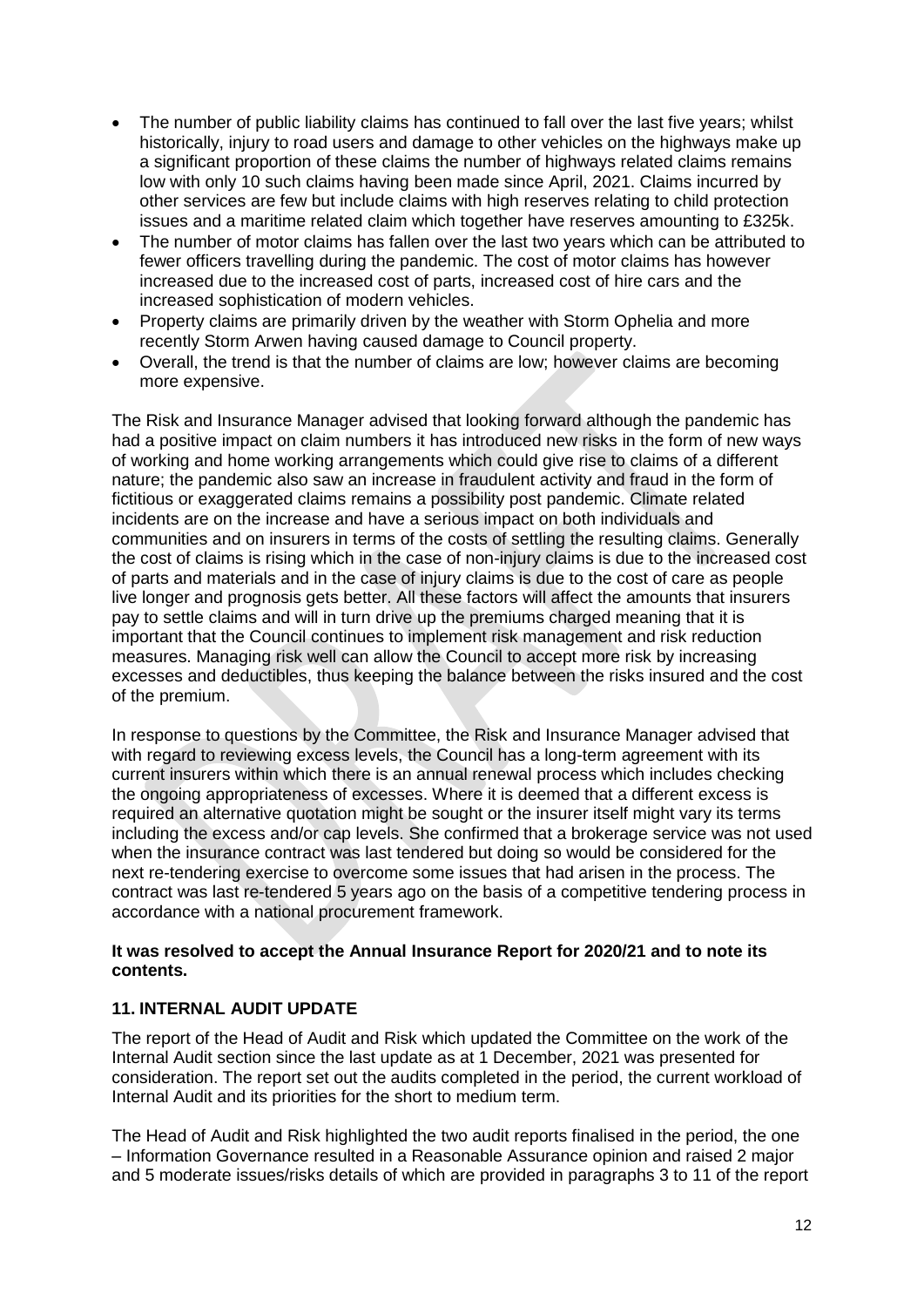- The number of public liability claims has continued to fall over the last five years; whilst historically, injury to road users and damage to other vehicles on the highways make up a significant proportion of these claims the number of highways related claims remains low with only 10 such claims having been made since April, 2021. Claims incurred by other services are few but include claims with high reserves relating to child protection issues and a maritime related claim which together have reserves amounting to £325k.
- The number of motor claims has fallen over the last two years which can be attributed to fewer officers travelling during the pandemic. The cost of motor claims has however increased due to the increased cost of parts, increased cost of hire cars and the increased sophistication of modern vehicles.
- Property claims are primarily driven by the weather with Storm Ophelia and more recently Storm Arwen having caused damage to Council property.
- Overall, the trend is that the number of claims are low; however claims are becoming more expensive.

The Risk and Insurance Manager advised that looking forward although the pandemic has had a positive impact on claim numbers it has introduced new risks in the form of new ways of working and home working arrangements which could give rise to claims of a different nature; the pandemic also saw an increase in fraudulent activity and fraud in the form of fictitious or exaggerated claims remains a possibility post pandemic. Climate related incidents are on the increase and have a serious impact on both individuals and communities and on insurers in terms of the costs of settling the resulting claims. Generally the cost of claims is rising which in the case of non-injury claims is due to the increased cost of parts and materials and in the case of injury claims is due to the cost of care as people live longer and prognosis gets better. All these factors will affect the amounts that insurers pay to settle claims and will in turn drive up the premiums charged meaning that it is important that the Council continues to implement risk management and risk reduction measures. Managing risk well can allow the Council to accept more risk by increasing excesses and deductibles, thus keeping the balance between the risks insured and the cost of the premium.

In response to questions by the Committee, the Risk and Insurance Manager advised that with regard to reviewing excess levels, the Council has a long-term agreement with its current insurers within which there is an annual renewal process which includes checking the ongoing appropriateness of excesses. Where it is deemed that a different excess is required an alternative quotation might be sought or the insurer itself might vary its terms including the excess and/or cap levels. She confirmed that a brokerage service was not used when the insurance contract was last tendered but doing so would be considered for the next re-tendering exercise to overcome some issues that had arisen in the process. The contract was last re-tendered 5 years ago on the basis of a competitive tendering process in accordance with a national procurement framework.

## **It was resolved to accept the Annual Insurance Report for 2020/21 and to note its contents.**

## **11. INTERNAL AUDIT UPDATE**

The report of the Head of Audit and Risk which updated the Committee on the work of the Internal Audit section since the last update as at 1 December, 2021 was presented for consideration. The report set out the audits completed in the period, the current workload of Internal Audit and its priorities for the short to medium term.

The Head of Audit and Risk highlighted the two audit reports finalised in the period, the one – Information Governance resulted in a Reasonable Assurance opinion and raised 2 major and 5 moderate issues/risks details of which are provided in paragraphs 3 to 11 of the report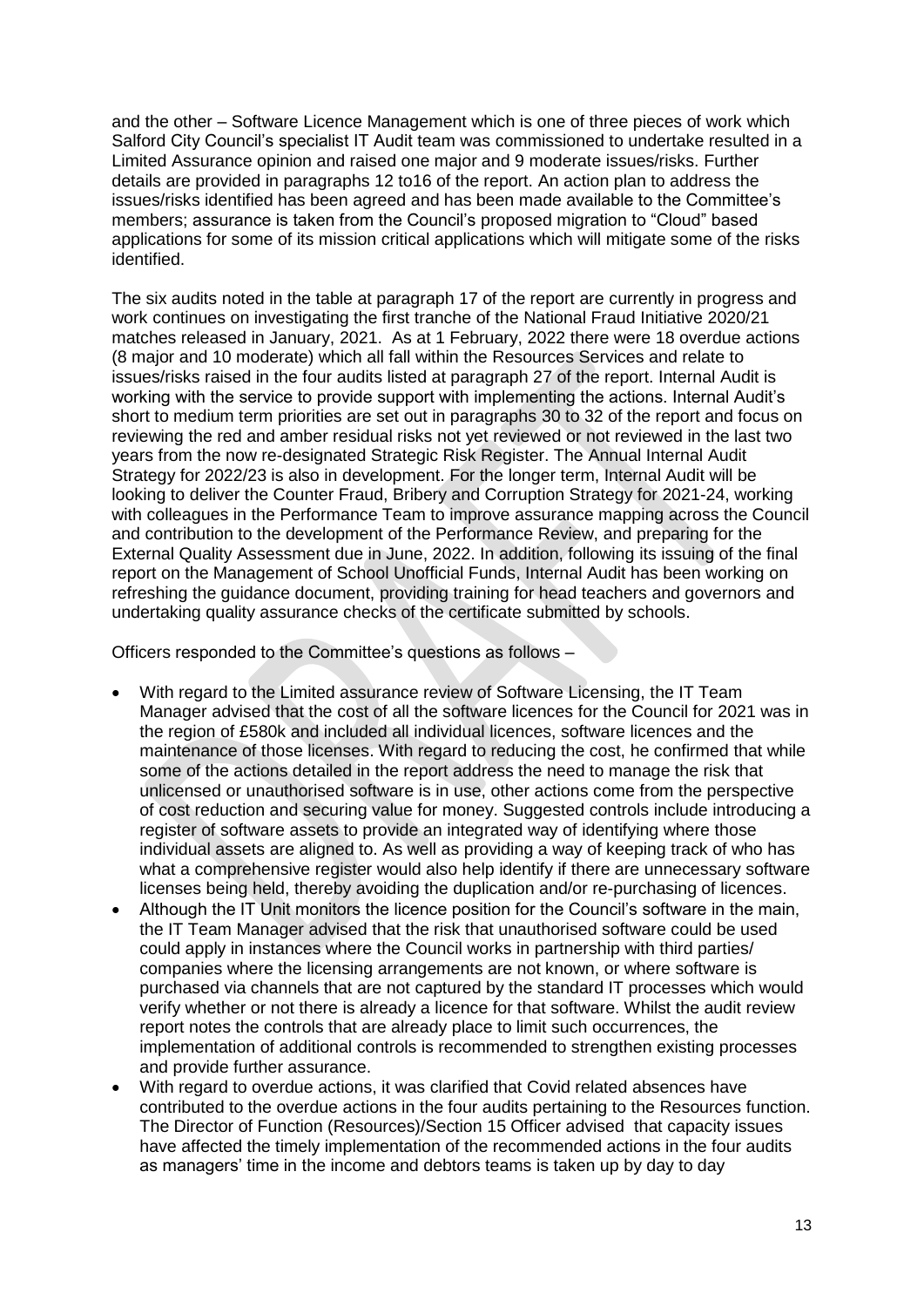and the other – Software Licence Management which is one of three pieces of work which Salford City Council's specialist IT Audit team was commissioned to undertake resulted in a Limited Assurance opinion and raised one major and 9 moderate issues/risks. Further details are provided in paragraphs 12 to16 of the report. An action plan to address the issues/risks identified has been agreed and has been made available to the Committee's members; assurance is taken from the Council's proposed migration to "Cloud" based applications for some of its mission critical applications which will mitigate some of the risks identified.

The six audits noted in the table at paragraph 17 of the report are currently in progress and work continues on investigating the first tranche of the National Fraud Initiative 2020/21 matches released in January, 2021. As at 1 February, 2022 there were 18 overdue actions (8 major and 10 moderate) which all fall within the Resources Services and relate to issues/risks raised in the four audits listed at paragraph 27 of the report. Internal Audit is working with the service to provide support with implementing the actions. Internal Audit's short to medium term priorities are set out in paragraphs 30 to 32 of the report and focus on reviewing the red and amber residual risks not yet reviewed or not reviewed in the last two years from the now re-designated Strategic Risk Register. The Annual Internal Audit Strategy for 2022/23 is also in development. For the longer term, Internal Audit will be looking to deliver the Counter Fraud, Bribery and Corruption Strategy for 2021-24, working with colleagues in the Performance Team to improve assurance mapping across the Council and contribution to the development of the Performance Review, and preparing for the External Quality Assessment due in June, 2022. In addition, following its issuing of the final report on the Management of School Unofficial Funds, Internal Audit has been working on refreshing the guidance document, providing training for head teachers and governors and undertaking quality assurance checks of the certificate submitted by schools.

Officers responded to the Committee's questions as follows –

- With regard to the Limited assurance review of Software Licensing, the IT Team Manager advised that the cost of all the software licences for the Council for 2021 was in the region of £580k and included all individual licences, software licences and the maintenance of those licenses. With regard to reducing the cost, he confirmed that while some of the actions detailed in the report address the need to manage the risk that unlicensed or unauthorised software is in use, other actions come from the perspective of cost reduction and securing value for money. Suggested controls include introducing a register of software assets to provide an integrated way of identifying where those individual assets are aligned to. As well as providing a way of keeping track of who has what a comprehensive register would also help identify if there are unnecessary software licenses being held, thereby avoiding the duplication and/or re-purchasing of licences.
- Although the IT Unit monitors the licence position for the Council's software in the main, the IT Team Manager advised that the risk that unauthorised software could be used could apply in instances where the Council works in partnership with third parties/ companies where the licensing arrangements are not known, or where software is purchased via channels that are not captured by the standard IT processes which would verify whether or not there is already a licence for that software. Whilst the audit review report notes the controls that are already place to limit such occurrences, the implementation of additional controls is recommended to strengthen existing processes and provide further assurance.
- With regard to overdue actions, it was clarified that Covid related absences have contributed to the overdue actions in the four audits pertaining to the Resources function. The Director of Function (Resources)/Section 15 Officer advised that capacity issues have affected the timely implementation of the recommended actions in the four audits as managers' time in the income and debtors teams is taken up by day to day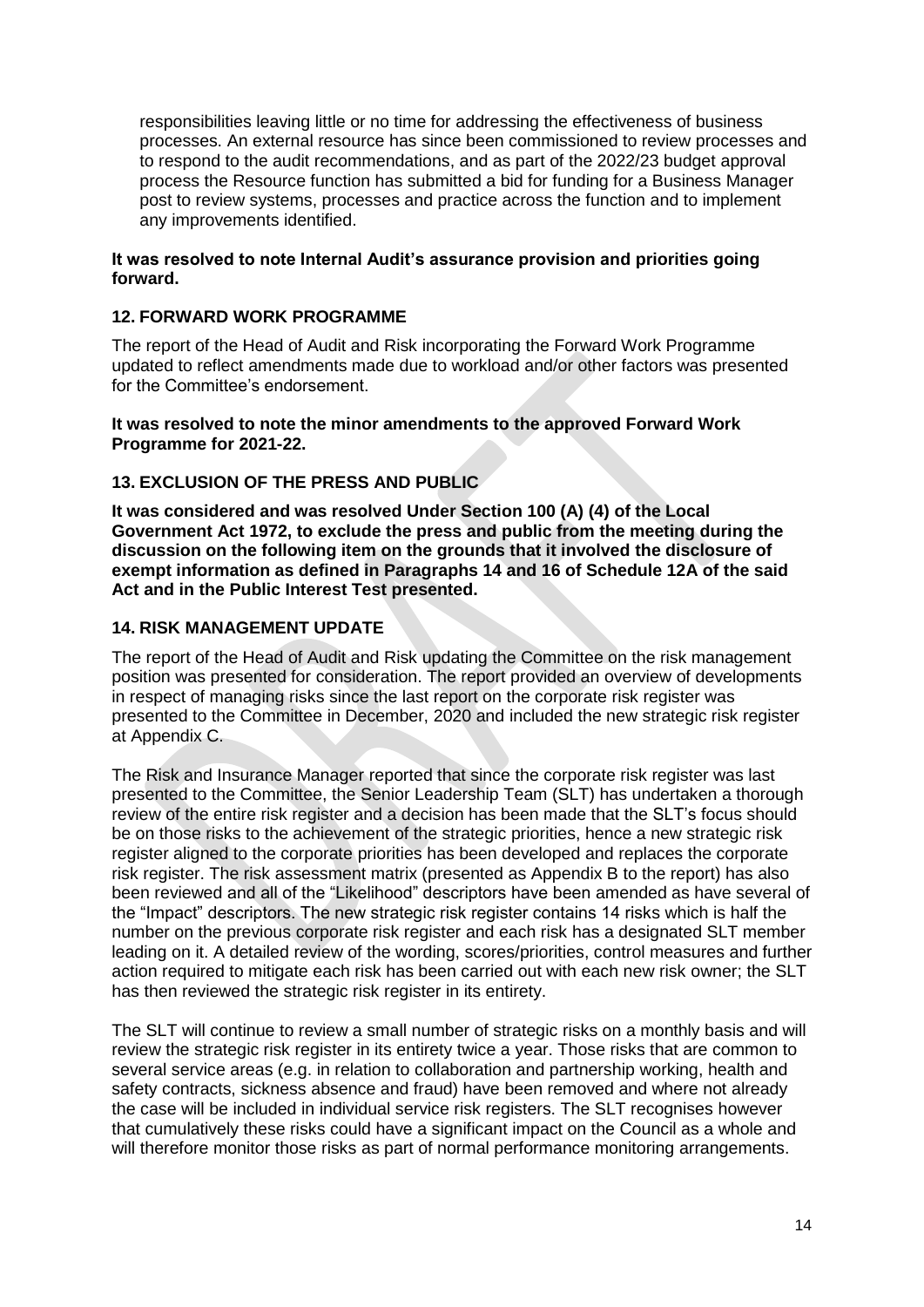responsibilities leaving little or no time for addressing the effectiveness of business processes. An external resource has since been commissioned to review processes and to respond to the audit recommendations, and as part of the 2022/23 budget approval process the Resource function has submitted a bid for funding for a Business Manager post to review systems, processes and practice across the function and to implement any improvements identified.

#### **It was resolved to note Internal Audit's assurance provision and priorities going forward.**

# **12. FORWARD WORK PROGRAMME**

The report of the Head of Audit and Risk incorporating the Forward Work Programme updated to reflect amendments made due to workload and/or other factors was presented for the Committee's endorsement.

#### **It was resolved to note the minor amendments to the approved Forward Work Programme for 2021-22.**

# **13. EXCLUSION OF THE PRESS AND PUBLIC**

**It was considered and was resolved Under Section 100 (A) (4) of the Local Government Act 1972, to exclude the press and public from the meeting during the discussion on the following item on the grounds that it involved the disclosure of exempt information as defined in Paragraphs 14 and 16 of Schedule 12A of the said Act and in the Public Interest Test presented.**

# **14. RISK MANAGEMENT UPDATE**

The report of the Head of Audit and Risk updating the Committee on the risk management position was presented for consideration. The report provided an overview of developments in respect of managing risks since the last report on the corporate risk register was presented to the Committee in December, 2020 and included the new strategic risk register at Appendix C.

The Risk and Insurance Manager reported that since the corporate risk register was last presented to the Committee, the Senior Leadership Team (SLT) has undertaken a thorough review of the entire risk register and a decision has been made that the SLT's focus should be on those risks to the achievement of the strategic priorities, hence a new strategic risk register aligned to the corporate priorities has been developed and replaces the corporate risk register. The risk assessment matrix (presented as Appendix B to the report) has also been reviewed and all of the "Likelihood" descriptors have been amended as have several of the "Impact" descriptors. The new strategic risk register contains 14 risks which is half the number on the previous corporate risk register and each risk has a designated SLT member leading on it. A detailed review of the wording, scores/priorities, control measures and further action required to mitigate each risk has been carried out with each new risk owner; the SLT has then reviewed the strategic risk register in its entirety.

The SLT will continue to review a small number of strategic risks on a monthly basis and will review the strategic risk register in its entirety twice a year. Those risks that are common to several service areas (e.g. in relation to collaboration and partnership working, health and safety contracts, sickness absence and fraud) have been removed and where not already the case will be included in individual service risk registers. The SLT recognises however that cumulatively these risks could have a significant impact on the Council as a whole and will therefore monitor those risks as part of normal performance monitoring arrangements.